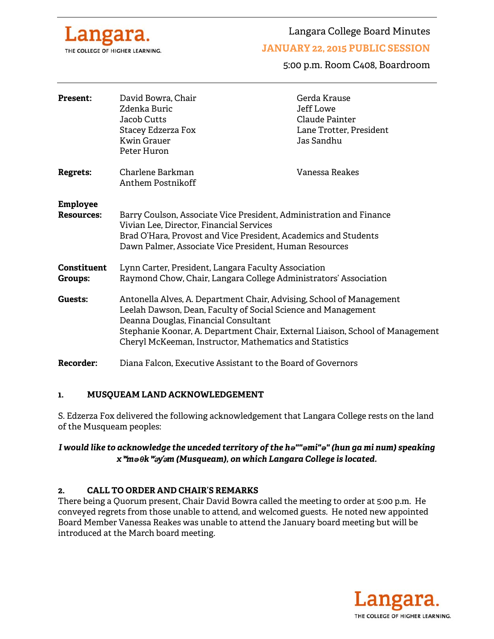

Langara College Board Minutes

### **JANUARY 22, 2015 PUBLIC SESSION**

5:00 p.m. Room C408, Boardroom

| <b>Present:</b>                      | David Bowra, Chair<br>Zdenka Buric<br>Jacob Cutts<br>Stacey Edzerza Fox<br><b>Kwin Grauer</b><br>Peter Huron                                                                                                                                                                                                              | Gerda Krause<br>Jeff Lowe<br>Claude Painter<br>Lane Trotter, President<br>Jas Sandhu |
|--------------------------------------|---------------------------------------------------------------------------------------------------------------------------------------------------------------------------------------------------------------------------------------------------------------------------------------------------------------------------|--------------------------------------------------------------------------------------|
| <b>Regrets:</b>                      | Charlene Barkman<br>Anthem Postnikoff                                                                                                                                                                                                                                                                                     | Vanessa Reakes                                                                       |
| <b>Employee</b><br><b>Resources:</b> | Barry Coulson, Associate Vice President, Administration and Finance<br>Vivian Lee, Director, Financial Services<br>Brad O'Hara, Provost and Vice President, Academics and Students<br>Dawn Palmer, Associate Vice President, Human Resources                                                                              |                                                                                      |
| <b>Constituent</b><br><b>Groups:</b> | Lynn Carter, President, Langara Faculty Association<br>Raymond Chow, Chair, Langara College Administrators' Association                                                                                                                                                                                                   |                                                                                      |
| Guests:                              | Antonella Alves, A. Department Chair, Advising, School of Management<br>Leelah Dawson, Dean, Faculty of Social Science and Management<br>Deanna Douglas, Financial Consultant<br>Stephanie Koonar, A. Department Chair, External Liaison, School of Management<br>Cheryl McKeeman, Instructor, Mathematics and Statistics |                                                                                      |
| <b>Recorder:</b>                     | Diana Falcon, Executive Assistant to the Board of Governors                                                                                                                                                                                                                                                               |                                                                                      |

### **1. MUSQUEAM LAND ACKNOWLEDGEMENT**

S. Edzerza Fox delivered the following acknowledgement that Langara College rests on the land of the Musqueam peoples:

*I would like to acknowledge the unceded territory of the hə""əmi"ə" (hun ga mi num) speaking x*ʷ*məθk*ʷə*y*̓ə*m (Musqueam), on which Langara College is located.* 

### **2. CALL TO ORDER AND CHAIR'S REMARKS**

There being a Quorum present, Chair David Bowra called the meeting to order at 5:00 p.m. He conveyed regrets from those unable to attend, and welcomed guests. He noted new appointed Board Member Vanessa Reakes was unable to attend the January board meeting but will be introduced at the March board meeting.

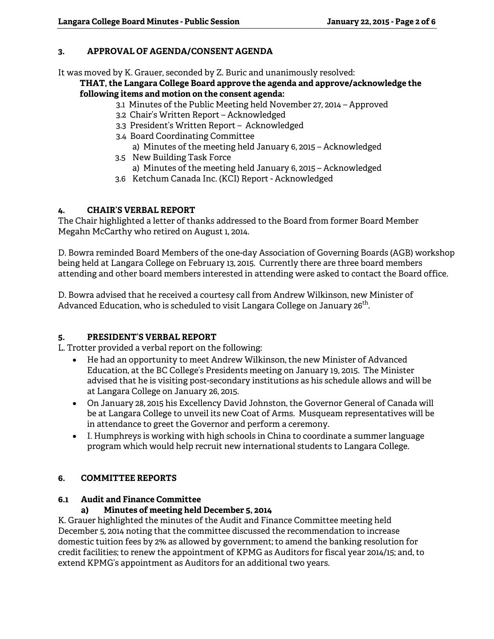### **3. APPROVAL OF AGENDA/CONSENT AGENDA**

It was moved by K. Grauer, seconded by Z. Buric and unanimously resolved:

#### **THAT, the Langara College Board approve the agenda and approve/acknowledge the following items and motion on the consent agenda:**

- 3.1 Minutes of the Public Meeting held November 27, 2014 Approved
- 3.2 Chair's Written Report Acknowledged
- 3.3 President's Written Report Acknowledged
- 3.4 Board Coordinating Committee a) Minutes of the meeting held January 6, 2015 – Acknowledged
- 3.5 New Building Task Force a) Minutes of the meeting held January 6, 2015 – Acknowledged
- 3.6 Ketchum Canada Inc. (KCI) Report Acknowledged

### **4. CHAIR'S VERBAL REPORT**

The Chair highlighted a letter of thanks addressed to the Board from former Board Member Megahn McCarthy who retired on August 1, 2014.

D. Bowra reminded Board Members of the one-day Association of Governing Boards (AGB) workshop being held at Langara College on February 13, 2015. Currently there are three board members attending and other board members interested in attending were asked to contact the Board office.

D. Bowra advised that he received a courtesy call from Andrew Wilkinson, new Minister of Advanced Education, who is scheduled to visit Langara College on January 26<sup>th</sup>.

# **5. PRESIDENT'S VERBAL REPORT**

L. Trotter provided a verbal report on the following:

- He had an opportunity to meet Andrew Wilkinson, the new Minister of Advanced Education, at the BC College's Presidents meeting on January 19, 2015. The Minister advised that he is visiting post-secondary institutions as his schedule allows and will be at Langara College on January 26, 2015.
- On January 28, 2015 his Excellency David Johnston, the Governor General of Canada will be at Langara College to unveil its new Coat of Arms. Musqueam representatives will be in attendance to greet the Governor and perform a ceremony.
- I. Humphreys is working with high schools in China to coordinate a summer language program which would help recruit new international students to Langara College.

### **6. COMMITTEE REPORTS**

### **6.1 Audit and Finance Committee**

# **a) Minutes of meeting held December 5, 2014**

K. Grauer highlighted the minutes of the Audit and Finance Committee meeting held December 5, 2014 noting that the committee discussed the recommendation to increase domestic tuition fees by 2% as allowed by government; to amend the banking resolution for credit facilities; to renew the appointment of KPMG as Auditors for fiscal year 2014/15; and, to extend KPMG's appointment as Auditors for an additional two years.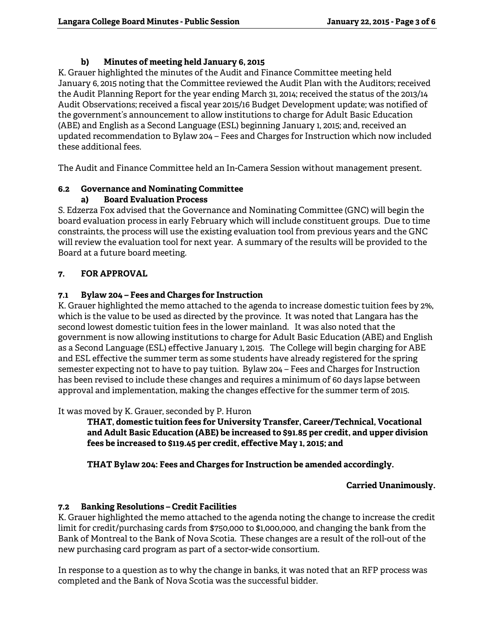# **b) Minutes of meeting held January 6, 2015**

K. Grauer highlighted the minutes of the Audit and Finance Committee meeting held January 6, 2015 noting that the Committee reviewed the Audit Plan with the Auditors; received the Audit Planning Report for the year ending March 31, 2014; received the status of the 2013/14 Audit Observations; received a fiscal year 2015/16 Budget Development update; was notified of the government's announcement to allow institutions to charge for Adult Basic Education (ABE) and English as a Second Language (ESL) beginning January 1, 2015; and, received an updated recommendation to Bylaw 204 – Fees and Charges for Instruction which now included these additional fees.

The Audit and Finance Committee held an In-Camera Session without management present.

#### **6.2 Governance and Nominating Committee a) Board Evaluation Process**

S. Edzerza Fox advised that the Governance and Nominating Committee (GNC) will begin the board evaluation process in early February which will include constituent groups. Due to time constraints, the process will use the existing evaluation tool from previous years and the GNC will review the evaluation tool for next year. A summary of the results will be provided to the Board at a future board meeting.

# **7. FOR APPROVAL**

# **7.1 Bylaw 204 – Fees and Charges for Instruction**

K. Grauer highlighted the memo attached to the agenda to increase domestic tuition fees by 2%, which is the value to be used as directed by the province. It was noted that Langara has the second lowest domestic tuition fees in the lower mainland. It was also noted that the government is now allowing institutions to charge for Adult Basic Education (ABE) and English as a Second Language (ESL) effective January 1, 2015. The College will begin charging for ABE and ESL effective the summer term as some students have already registered for the spring semester expecting not to have to pay tuition. Bylaw 204 – Fees and Charges for Instruction has been revised to include these changes and requires a minimum of 60 days lapse between approval and implementation, making the changes effective for the summer term of 2015.

It was moved by K. Grauer, seconded by P. Huron

**THAT, domestic tuition fees for University Transfer, Career/Technical, Vocational and Adult Basic Education (ABE) be increased to \$91.85 per credit, and upper division fees be increased to \$119.45 per credit, effective May 1, 2015; and**

 **THAT Bylaw 204: Fees and Charges for Instruction be amended accordingly.** 

# **Carried Unanimously.**

# **7.2 Banking Resolutions – Credit Facilities**

K. Grauer highlighted the memo attached to the agenda noting the change to increase the credit limit for credit/purchasing cards from \$750,000 to \$1,000,000, and changing the bank from the Bank of Montreal to the Bank of Nova Scotia. These changes are a result of the roll-out of the new purchasing card program as part of a sector-wide consortium.

In response to a question as to why the change in banks, it was noted that an RFP process was completed and the Bank of Nova Scotia was the successful bidder.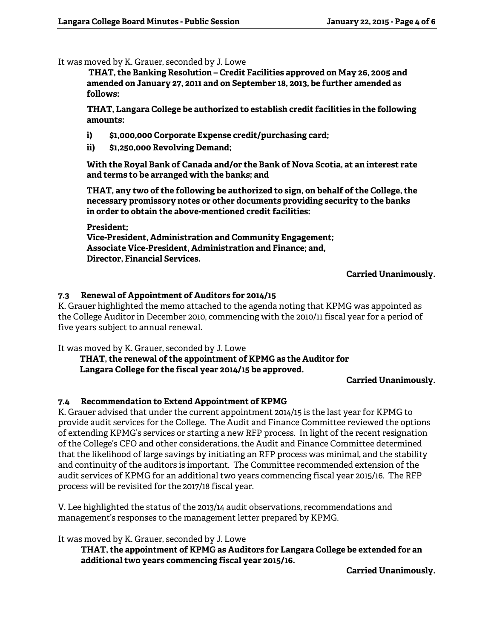It was moved by K. Grauer, seconded by J. Lowe

**THAT, the Banking Resolution – Credit Facilities approved on May 26, 2005 and amended on January 27, 2011 and on September 18, 2013, be further amended as follows:** 

**THAT, Langara College be authorized to establish credit facilities in the following amounts:** 

- **i) \$1,000,000 Corporate Expense credit/purchasing card;**
- **ii) \$1,250,000 Revolving Demand;**

**With the Royal Bank of Canada and/or the Bank of Nova Scotia, at an interest rate and terms to be arranged with the banks; and** 

**THAT, any two of the following be authorized to sign, on behalf of the College, the necessary promissory notes or other documents providing security to the banks in order to obtain the above-mentioned credit facilities:** 

**President;** 

**Vice-President, Administration and Community Engagement; Associate Vice-President, Administration and Finance; and, Director, Financial Services.** 

**Carried Unanimously.** 

### **7.3 Renewal of Appointment of Auditors for 2014/15**

K. Grauer highlighted the memo attached to the agenda noting that KPMG was appointed as the College Auditor in December 2010, commencing with the 2010/11 fiscal year for a period of five years subject to annual renewal.

It was moved by K. Grauer, seconded by J. Lowe

 **THAT, the renewal of the appointment of KPMG as the Auditor for Langara College for the fiscal year 2014/15 be approved.** 

**Carried Unanimously.** 

### **7.4 Recommendation to Extend Appointment of KPMG**

K. Grauer advised that under the current appointment 2014/15 is the last year for KPMG to provide audit services for the College. The Audit and Finance Committee reviewed the options of extending KPMG's services or starting a new RFP process. In light of the recent resignation of the College's CFO and other considerations, the Audit and Finance Committee determined that the likelihood of large savings by initiating an RFP process was minimal, and the stability and continuity of the auditors is important. The Committee recommended extension of the audit services of KPMG for an additional two years commencing fiscal year 2015/16. The RFP process will be revisited for the 2017/18 fiscal year.

V. Lee highlighted the status of the 2013/14 audit observations, recommendations and management's responses to the management letter prepared by KPMG.

It was moved by K. Grauer, seconded by J. Lowe

**THAT, the appointment of KPMG as Auditors for Langara College be extended for an additional two years commencing fiscal year 2015/16.** 

**Carried Unanimously.**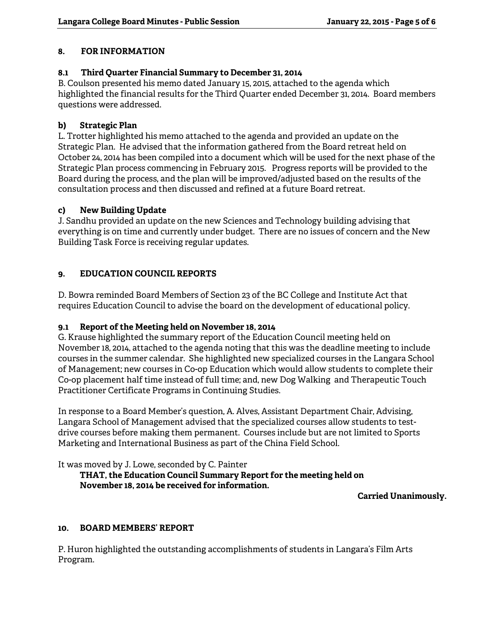### **8. FOR INFORMATION**

### **8.1 Third Quarter Financial Summary to December 31, 2014**

B. Coulson presented his memo dated January 15, 2015, attached to the agenda which highlighted the financial results for the Third Quarter ended December 31, 2014. Board members questions were addressed.

### **b) Strategic Plan**

L. Trotter highlighted his memo attached to the agenda and provided an update on the Strategic Plan. He advised that the information gathered from the Board retreat held on October 24, 2014 has been compiled into a document which will be used for the next phase of the Strategic Plan process commencing in February 2015. Progress reports will be provided to the Board during the process, and the plan will be improved/adjusted based on the results of the consultation process and then discussed and refined at a future Board retreat.

### **c) New Building Update**

J. Sandhu provided an update on the new Sciences and Technology building advising that everything is on time and currently under budget. There are no issues of concern and the New Building Task Force is receiving regular updates.

# **9. EDUCATION COUNCIL REPORTS**

D. Bowra reminded Board Members of Section 23 of the BC College and Institute Act that requires Education Council to advise the board on the development of educational policy.

# **9.1 Report of the Meeting held on November 18, 2014**

G. Krause highlighted the summary report of the Education Council meeting held on November 18, 2014, attached to the agenda noting that this was the deadline meeting to include courses in the summer calendar. She highlighted new specialized courses in the Langara School of Management; new courses in Co-op Education which would allow students to complete their Co-op placement half time instead of full time; and, new Dog Walking and Therapeutic Touch Practitioner Certificate Programs in Continuing Studies.

In response to a Board Member's question, A. Alves, Assistant Department Chair, Advising, Langara School of Management advised that the specialized courses allow students to testdrive courses before making them permanent. Courses include but are not limited to Sports Marketing and International Business as part of the China Field School.

It was moved by J. Lowe, seconded by C. Painter

# **THAT, the Education Council Summary Report for the meeting held on November 18, 2014 be received for information.**

**Carried Unanimously.** 

### **10. BOARD MEMBERS' REPORT**

P. Huron highlighted the outstanding accomplishments of students in Langara's Film Arts Program.